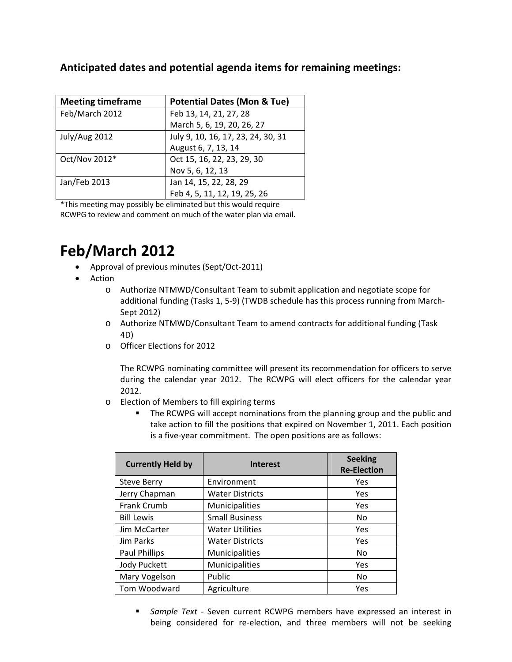| <b>Meeting timeframe</b> | <b>Potential Dates (Mon &amp; Tue)</b> |  |
|--------------------------|----------------------------------------|--|
| Feb/March 2012           | Feb 13, 14, 21, 27, 28                 |  |
|                          | March 5, 6, 19, 20, 26, 27             |  |
| July/Aug 2012            | July 9, 10, 16, 17, 23, 24, 30, 31     |  |
|                          | August 6, 7, 13, 14                    |  |
| Oct/Nov 2012*            | Oct 15, 16, 22, 23, 29, 30             |  |
|                          | Nov 5, 6, 12, 13                       |  |
| Jan/Feb 2013             | Jan 14, 15, 22, 28, 29                 |  |
|                          | Feb 4, 5, 11, 12, 19, 25, 26           |  |

\*This meeting may possibly be eliminated but this would require RCWPG to review and comment on much of the water plan via email.

## **Feb/March 2012**

- Approval of previous minutes (Sept/Oct‐2011)
- Action
	- o Authorize NTMWD/Consultant Team to submit application and negotiate scope for additional funding (Tasks 1, 5‐9) (TWDB schedule has this process running from March‐ Sept 2012)
	- o Authorize NTMWD/Consultant Team to amend contracts for additional funding (Task 4D)
	- o Officer Elections for 2012

The RCWPG nominating committee will present its recommendation for officers to serve during the calendar year 2012. The RCWPG will elect officers for the calendar year 2012.

- o Election of Members to fill expiring terms
	- The RCWPG will accept nominations from the planning group and the public and take action to fill the positions that expired on November 1, 2011. Each position is a five‐year commitment. The open positions are as follows:

| <b>Currently Held by</b> | <b>Interest</b>        | <b>Seeking</b><br><b>Re-Election</b> |
|--------------------------|------------------------|--------------------------------------|
| <b>Steve Berry</b>       | Environment            | Yes                                  |
| Jerry Chapman            | Water Districts        | Yes                                  |
| <b>Frank Crumb</b>       | <b>Municipalities</b>  | Yes                                  |
| <b>Bill Lewis</b>        | <b>Small Business</b>  | N <sub>0</sub>                       |
| Jim McCarter             | <b>Water Utilities</b> | Yes                                  |
| Jim Parks                | <b>Water Districts</b> | Yes                                  |
| Paul Phillips            | Municipalities         | No                                   |
| <b>Jody Puckett</b>      | Municipalities         | Yes                                  |
| Mary Vogelson            | Public                 | N <sub>0</sub>                       |
| Tom Woodward             | Agriculture            | Yes                                  |

 *Sample Text ‐* Seven current RCWPG members have expressed an interest in being considered for re-election, and three members will not be seeking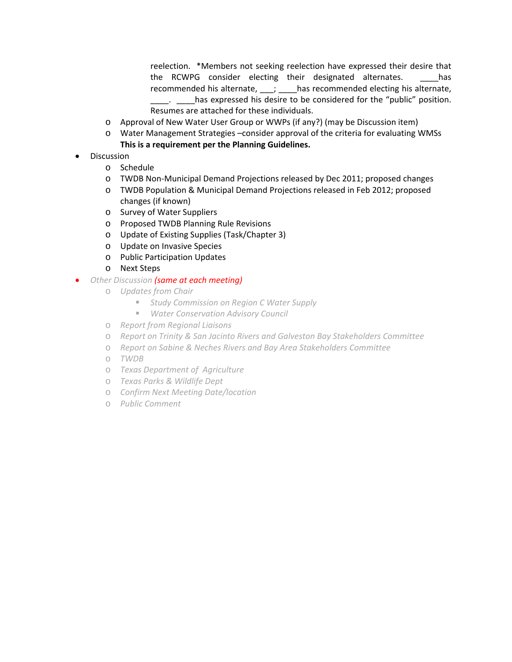reelection. \*Members not seeking reelection have expressed their desire that the RCWPG consider electing their designated alternates. \_\_\_\_has recommended his alternate, \_\_\_; \_\_\_\_has recommended electing his alternate, **\_\_\_\_\_.** \_\_\_\_has expressed his desire to be considered for the "public" position. Resumes are attached for these individuals.

- o Approval of New Water User Group or WWPs (if any?) (may be Discussion item)
- o Water Management Strategies –consider approval of the criteria for evaluating WMSs **This is a requirement per the Planning Guidelines.**
- Discussion
	- o Schedule
	- o TWDB Non‐Municipal Demand Projections released by Dec 2011; proposed changes
	- o TWDB Population & Municipal Demand Projections released in Feb 2012; proposed changes (if known)
	- o Survey of Water Suppliers
	- o Proposed TWDB Planning Rule Revisions
	- o Update of Existing Supplies (Task/Chapter 3)
	- o Update on Invasive Species
	- o Public Participation Updates
	- o Next Steps
- *Other Discussion (same at each meeting)*
	- o *Updates from Chair*
		- *Study Commission on Region C Water Supply*
		- *Water Conservation Advisory Council*
	- o *Report from Regional Liaisons*
	- o *Report on Trinity & San Jacinto Rivers and Galveston Bay Stakeholders Committee*
	- o *Report on Sabine & Neches Rivers and Bay Area Stakeholders Committee*
	- o *TWDB*
	- o *Texas Department of Agriculture*
	- o *Texas Parks & Wildlife Dept*
	- o *Confirm Next Meeting Date/location*
	- o *Public Comment*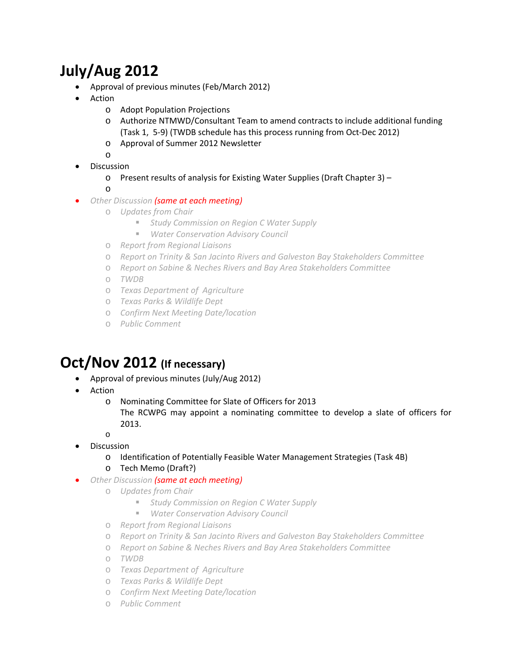## **July/Aug 2012**

- Approval of previous minutes (Feb/March 2012)
- Action
	- o Adopt Population Projections
	- o Authorize NTMWD/Consultant Team to amend contracts to include additional funding (Task 1, 5‐9) (TWDB schedule has this process running from Oct‐Dec 2012)
	- o Approval of Summer 2012 Newsletter
	- o
- Discussion
	- o Present results of analysis for Existing Water Supplies (Draft Chapter 3) –
	- o
- *Other Discussion (same at each meeting)*
	- o *Updates from Chair*
		- *Study Commission on Region C Water Supply*
		- *Water Conservation Advisory Council*
	- o *Report from Regional Liaisons*
	- o *Report on Trinity & San Jacinto Rivers and Galveston Bay Stakeholders Committee*
	- o *Report on Sabine & Neches Rivers and Bay Area Stakeholders Committee*
	- o *TWDB*
	- o *Texas Department of Agriculture*
	- o *Texas Parks & Wildlife Dept*
	- o *Confirm Next Meeting Date/location*
	- o *Public Comment*

## **Oct/Nov 2012 (If necessary)**

- Approval of previous minutes (July/Aug 2012)
- Action
	- o Nominating Committee for Slate of Officers for 2013 The RCWPG may appoint a nominating committee to develop a slate of officers for 2013.
	- o
- Discussion
	- o Identification of Potentially Feasible Water Management Strategies (Task 4B)
	- o Tech Memo (Draft?)
- *Other Discussion (same at each meeting)*
	- o *Updates from Chair*
		- *Study Commission on Region C Water Supply*
		- *Water Conservation Advisory Council*
	- o *Report from Regional Liaisons*
	- o *Report on Trinity & San Jacinto Rivers and Galveston Bay Stakeholders Committee*
	- o *Report on Sabine & Neches Rivers and Bay Area Stakeholders Committee*
	- o *TWDB*
	- o *Texas Department of Agriculture*
	- o *Texas Parks & Wildlife Dept*
	- o *Confirm Next Meeting Date/location*
	- o *Public Comment*